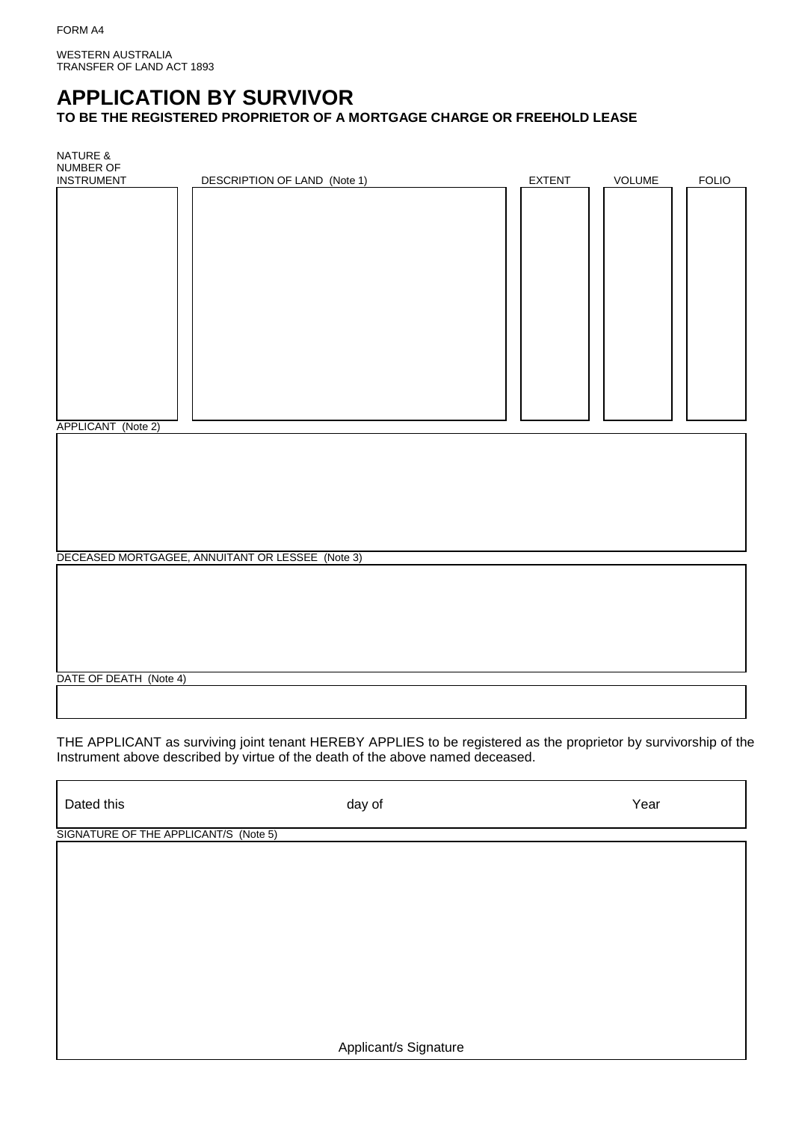WESTERN AUSTRALIA TRANSFER OF LAND ACT 1893

# **APPLICATION BY SURVIVOR**

**TO BE THE REGISTERED PROPRIETOR OF A MORTGAGE CHARGE OR FREEHOLD LEASE**

| <b>NATURE &amp;</b><br>NUMBER OF |                                                  |        |        |              |  |
|----------------------------------|--------------------------------------------------|--------|--------|--------------|--|
| <b>INSTRUMENT</b>                | DESCRIPTION OF LAND (Note 1)                     | EXTENT | VOLUME | <b>FOLIO</b> |  |
| APPLICANT (Note 2)               |                                                  |        |        |              |  |
|                                  | DECEASED MORTGAGEE, ANNUITANT OR LESSEE (Note 3) |        |        |              |  |
|                                  |                                                  |        |        |              |  |
| DATE OF DEATH (Note 4)           |                                                  |        |        |              |  |
|                                  |                                                  |        |        |              |  |

THE APPLICANT as surviving joint tenant HEREBY APPLIES to be registered as the proprietor by survivorship of the Instrument above described by virtue of the death of the above named deceased.

Dated this day of Year

SIGNATURE OF THE APPLICANT/S (Note 5)

Applicant/s Signature